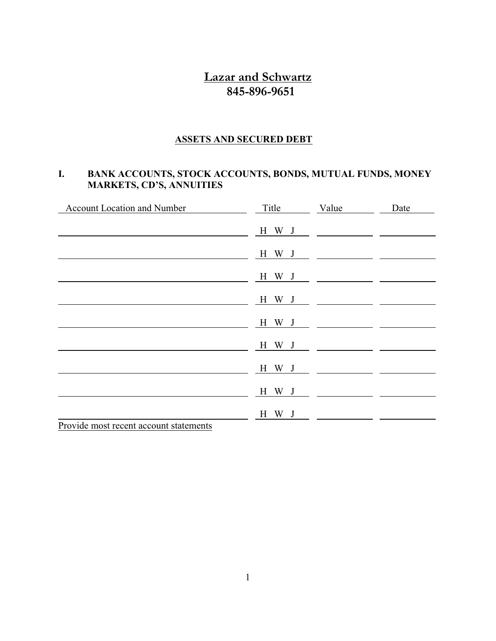## **Lazar and Schwartz 845-896-9651**

#### **ASSETS AND SECURED DEBT**

#### **I. BANK ACCOUNTS, STOCK ACCOUNTS, BONDS, MUTUAL FUNDS, MONEY MARKETS, CD'S, ANNUITIES**

| <b>Account Location and Number</b>     | Title | Value                                                                                                                                                                                                                                                                                                                                                                                                                                                                           | Date |
|----------------------------------------|-------|---------------------------------------------------------------------------------------------------------------------------------------------------------------------------------------------------------------------------------------------------------------------------------------------------------------------------------------------------------------------------------------------------------------------------------------------------------------------------------|------|
|                                        | H W J |                                                                                                                                                                                                                                                                                                                                                                                                                                                                                 |      |
|                                        | H W J | $\overline{\phantom{a}}$ $\overline{\phantom{a}}$ $\overline{\phantom{a}}$ $\overline{\phantom{a}}$ $\overline{\phantom{a}}$ $\overline{\phantom{a}}$ $\overline{\phantom{a}}$ $\overline{\phantom{a}}$ $\overline{\phantom{a}}$ $\overline{\phantom{a}}$ $\overline{\phantom{a}}$ $\overline{\phantom{a}}$ $\overline{\phantom{a}}$ $\overline{\phantom{a}}$ $\overline{\phantom{a}}$ $\overline{\phantom{a}}$ $\overline{\phantom{a}}$ $\overline{\phantom{a}}$ $\overline{\$ |      |
|                                        | H W J |                                                                                                                                                                                                                                                                                                                                                                                                                                                                                 |      |
|                                        | H W J | <u> 1980 - Jan Samuel Barbara, político establece</u>                                                                                                                                                                                                                                                                                                                                                                                                                           |      |
|                                        | H W J |                                                                                                                                                                                                                                                                                                                                                                                                                                                                                 |      |
|                                        | H W J |                                                                                                                                                                                                                                                                                                                                                                                                                                                                                 |      |
|                                        | H W J |                                                                                                                                                                                                                                                                                                                                                                                                                                                                                 |      |
|                                        | H W J |                                                                                                                                                                                                                                                                                                                                                                                                                                                                                 |      |
|                                        | H W J |                                                                                                                                                                                                                                                                                                                                                                                                                                                                                 |      |
| Provide most recent account statements |       |                                                                                                                                                                                                                                                                                                                                                                                                                                                                                 |      |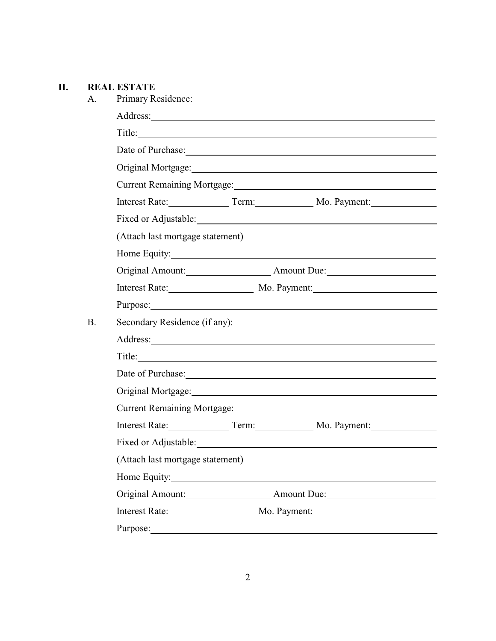#### **II. REAL ESTATE**

| Primary Residence:                                                                                                                                                                                                            |                               |                                                                                                                                                                                                                                |  |  |
|-------------------------------------------------------------------------------------------------------------------------------------------------------------------------------------------------------------------------------|-------------------------------|--------------------------------------------------------------------------------------------------------------------------------------------------------------------------------------------------------------------------------|--|--|
|                                                                                                                                                                                                                               |                               |                                                                                                                                                                                                                                |  |  |
|                                                                                                                                                                                                                               |                               | Title:                                                                                                                                                                                                                         |  |  |
|                                                                                                                                                                                                                               |                               | Date of Purchase: Note of Purchase and the set of the set of the set of the set of the set of the set of the set of the set of the set of the set of the set of the set of the set of the set of the set of the set of the set |  |  |
|                                                                                                                                                                                                                               |                               | Original Mortgage: Manager and Mortgage and Mortgage and Mortgage and Mortgage and Mortgage and Mortgage and Mortgage and Mortgage and Mortgage and Mortgage and Mortgage and Mortgage and Mortgage and Mortgage and Mortgage  |  |  |
|                                                                                                                                                                                                                               |                               | Current Remaining Mortgage: Manager School and School and School and School and School and School and School and School and School and School and School and School and School and School and School and School and School and |  |  |
|                                                                                                                                                                                                                               |                               | Interest Rate: Term: No. Payment:                                                                                                                                                                                              |  |  |
|                                                                                                                                                                                                                               |                               |                                                                                                                                                                                                                                |  |  |
| (Attach last mortgage statement)                                                                                                                                                                                              |                               |                                                                                                                                                                                                                                |  |  |
|                                                                                                                                                                                                                               |                               |                                                                                                                                                                                                                                |  |  |
|                                                                                                                                                                                                                               |                               | Original Amount: Amount Due: Amount Due:                                                                                                                                                                                       |  |  |
|                                                                                                                                                                                                                               |                               | Interest Rate: Mo. Payment:                                                                                                                                                                                                    |  |  |
|                                                                                                                                                                                                                               |                               | Purpose:                                                                                                                                                                                                                       |  |  |
|                                                                                                                                                                                                                               | Secondary Residence (if any): |                                                                                                                                                                                                                                |  |  |
|                                                                                                                                                                                                                               |                               |                                                                                                                                                                                                                                |  |  |
|                                                                                                                                                                                                                               |                               |                                                                                                                                                                                                                                |  |  |
|                                                                                                                                                                                                                               |                               | Date of Purchase: New York Changes and Security and Security and Security and Security and Security and Security and Security and Security and Security and Security and Security and Security and Security and Security and S |  |  |
| Original Mortgage: 1988 Contract Contract Contract Contract Contract Contract Contract Contract Contract Contract Contract Contract Contract Contract Contract Contract Contract Contract Contract Contract Contract Contract |                               |                                                                                                                                                                                                                                |  |  |
|                                                                                                                                                                                                                               |                               | Current Remaining Mortgage: Manual Manual Current Remaining Mortgage:                                                                                                                                                          |  |  |
|                                                                                                                                                                                                                               |                               | Interest Rate: Term: No. Payment:                                                                                                                                                                                              |  |  |
|                                                                                                                                                                                                                               |                               |                                                                                                                                                                                                                                |  |  |
| (Attach last mortgage statement)                                                                                                                                                                                              |                               |                                                                                                                                                                                                                                |  |  |
| Home Equity: 1988                                                                                                                                                                                                             |                               |                                                                                                                                                                                                                                |  |  |
|                                                                                                                                                                                                                               |                               | Original Amount: Amount Due:                                                                                                                                                                                                   |  |  |
|                                                                                                                                                                                                                               |                               | Interest Rate: Mo. Payment:                                                                                                                                                                                                    |  |  |
|                                                                                                                                                                                                                               |                               |                                                                                                                                                                                                                                |  |  |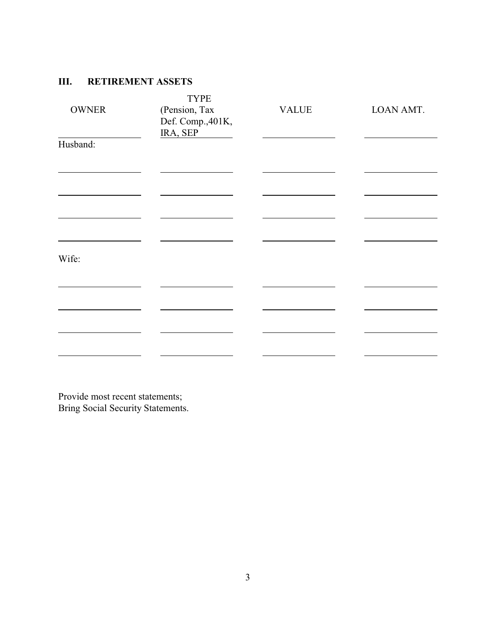## **III. RETIREMENT ASSETS**

| <b>OWNER</b> | <b>TYPE</b><br>(Pension, Tax<br>Def. Comp., 401K,<br>IRA, SEP | <b>VALUE</b> | LOAN AMT. |
|--------------|---------------------------------------------------------------|--------------|-----------|
| Husband:     |                                                               |              |           |
|              |                                                               |              |           |
|              |                                                               |              |           |
| Wife:        |                                                               |              |           |
|              |                                                               |              |           |
|              |                                                               |              |           |

Provide most recent statements; Bring Social Security Statements.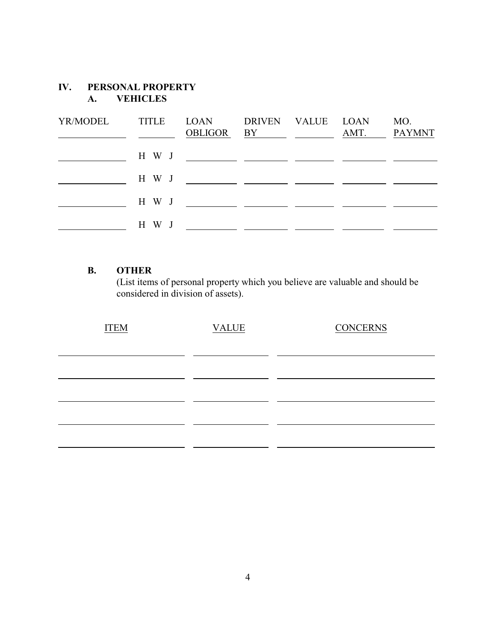## **IV. PERSONAL PROPERTY A. VEHICLES**

| YR/MODEL | <b>TITLE</b> | LOAN DRIVEN VALUE LOAN<br>OBLIGOR BY AMT. PAYMNT      |  | MO. |
|----------|--------------|-------------------------------------------------------|--|-----|
|          |              |                                                       |  |     |
|          |              | H W J _________ ________ ________ _______             |  |     |
|          |              | H W J _______ ________ ________                       |  |     |
|          | H W J        | <u> 1986 - Jan James James, politik eta politik (</u> |  |     |

#### **B. OTHER**

(List items of personal property which you believe are valuable and should be considered in division of assets).

| <b>ITEM</b> | <b>VALUE</b> | <b>CONCERNS</b> |
|-------------|--------------|-----------------|
|             |              |                 |
|             |              |                 |
|             |              |                 |
|             |              |                 |
|             |              |                 |
|             |              |                 |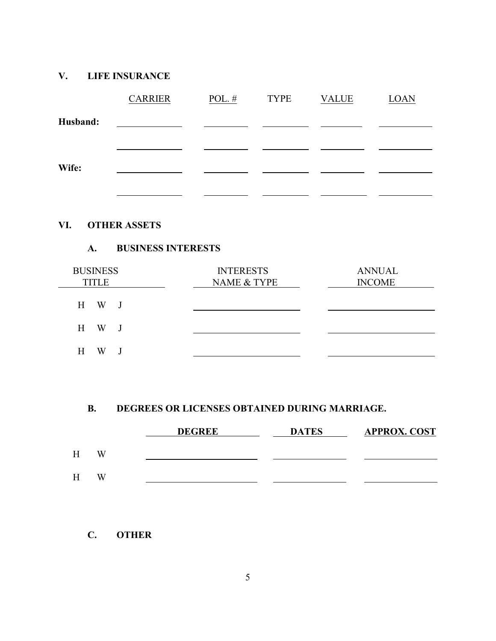## **V. LIFE INSURANCE**

|          | <b>CARRIER</b> | POL. $#$ | <b>TYPE</b> | <b>VALUE</b> | <b>LOAN</b> |
|----------|----------------|----------|-------------|--------------|-------------|
| Husband: |                |          |             |              |             |
|          |                |          |             |              |             |
| Wife:    |                |          |             |              |             |
|          |                |          |             |              |             |
|          |                |          |             |              |             |

## **VI. OTHER ASSETS**

#### **A. BUSINESS INTERESTS**

| <b>BUSINESS</b><br><b>TITLE</b> | <b>INTERESTS</b><br>NAME & TYPE | <b>ANNUAL</b><br><b>INCOME</b> |
|---------------------------------|---------------------------------|--------------------------------|
| H W<br>$\mathbf{J}$             |                                 |                                |
| H W<br>$\overline{\mathbf{J}}$  |                                 |                                |
| W<br>H                          |                                 |                                |

### **B. DEGREES OR LICENSES OBTAINED DURING MARRIAGE.**

|   |   | <b>DEGREE</b> | <b>DATES</b> | <b>APPROX. COST</b> |
|---|---|---------------|--------------|---------------------|
| н | W |               |              |                     |
| H | W |               |              |                     |

**C. OTHER**